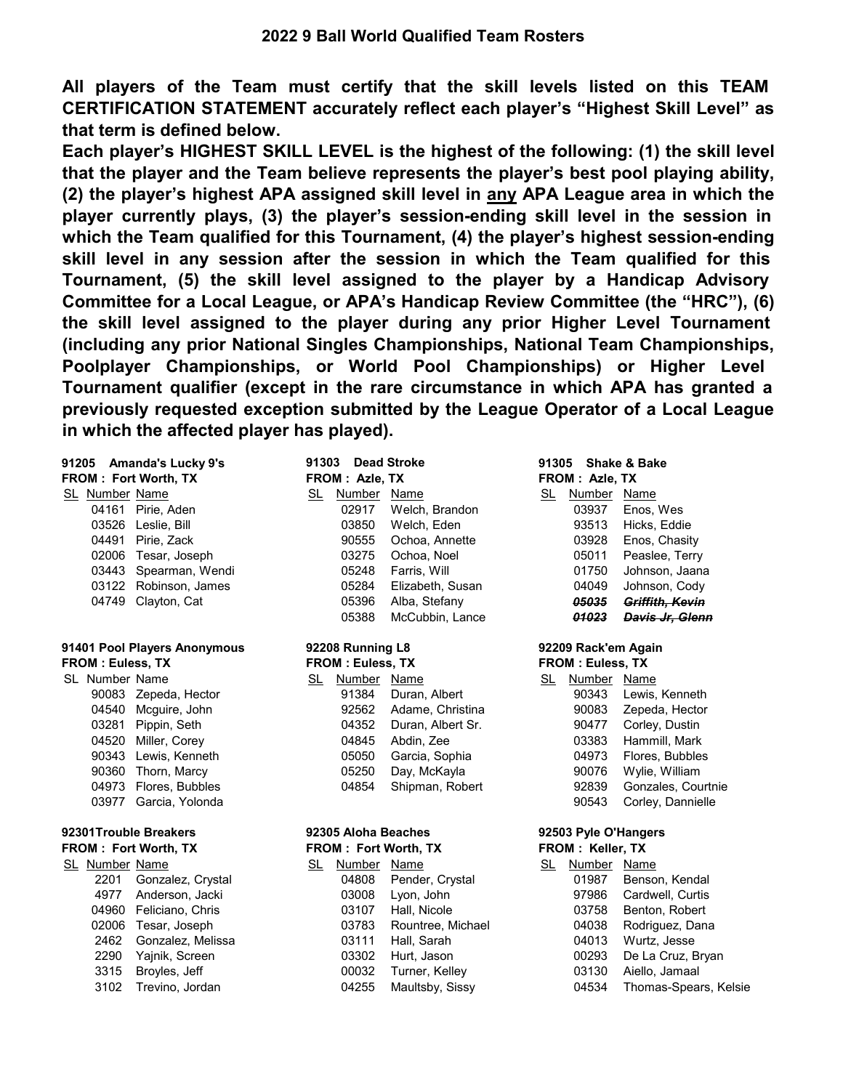**All players of the Team must certify that the skill levels listed on this TEAM CERTIFICATION STATEMENT accurately reflect each player's "Highest Skill Level" as that term is defined below.**

**Each player's HIGHEST SKILL LEVEL is the highest of the following: (1) the skill level that the player and the Team believe represents the player's best pool playing ability, (2) the player's highest APA assigned skill level in any APA League area in which the player currently plays, (3) the player's session-ending skill level in the session in which the Team qualified for this Tournament, (4) the player's highest session-ending skill level in any session after the session in which the Team qualified for this Tournament, (5) the skill level assigned to the player by a Handicap Advisory Committee for a Local League, or APA's Handicap Review Committee (the "HRC"), (6) the skill level assigned to the player during any prior Higher Level Tournament (including any prior National Singles Championships, National Team Championships, Poolplayer Championships, or World Pool Championships) or Higher Level Tournament qualifier (except in the rare circumstance in which APA has granted a previously requested exception submitted by the League Operator of a Local League in which the affected player has played).**

| 91205 Amanda's Lucky 9's |                      |                    |  |  |  |  |  |  |
|--------------------------|----------------------|--------------------|--|--|--|--|--|--|
|                          | FROM: Fort Worth, TX |                    |  |  |  |  |  |  |
|                          | SL Number Name       |                    |  |  |  |  |  |  |
|                          |                      | 04161 Pirie, Aden  |  |  |  |  |  |  |
|                          |                      | 03526 Leslie, Bill |  |  |  |  |  |  |
|                          | 04491                | Pirie. Zack        |  |  |  |  |  |  |
|                          | 02006                | Tesar, Joseph      |  |  |  |  |  |  |
|                          | 03443                | Spearman, Wendi    |  |  |  |  |  |  |
|                          | 03122                | Robinson, James    |  |  |  |  |  |  |
|                          | 04749                | Clayton, Cat       |  |  |  |  |  |  |

### **91401 Pool Players Anonymous 92209 Rack'em Again FROM : Euless, TX FROM : Euless, TX FROM : Euless, TX**

| SL Number Name |                       | SL | Number Name |                         | SL | Number | Name         |
|----------------|-----------------------|----|-------------|-------------------------|----|--------|--------------|
|                | 90083 Zepeda, Hector  |    | 91384       | Duran, Albert           |    | 90343  | <b>Lewis</b> |
|                | 04540 Mcquire, John   |    | 92562       | Adame, Christina        |    | 90083  | Zepec        |
|                | 03281 Pippin, Seth    |    |             | 04352 Duran, Albert Sr. |    | 90477  | Corley       |
|                | 04520 Miller, Corey   |    | 04845       | Abdin, Zee              |    | 03383  | Hamn         |
|                | 90343 Lewis, Kenneth  |    | 05050       | Garcia, Sophia          |    | 04973  | Flores       |
|                | 90360 Thorn, Marcy    |    | 05250       | Day, McKayla            |    | 90076  | Wylie,       |
|                | 04973 Flores, Bubbles |    | 04854       | Shipman, Robert         |    | 92839  | Gonza        |
|                | 03977 Garcia, Yolonda |    |             |                         |    | 90543  | Corley       |
|                |                       |    |             |                         |    |        |              |

### **92301Trouble Breakers 92305 Aloha Beaches 92503 Pyle O'Hangers**

| Number Name |                   |
|-------------|-------------------|
| 2201        | Gonzalez, Crystal |
| 4977        | Anderson, Jacki   |
| 04960       | Feliciano, Chris  |
| 02006       | Tesar, Joseph     |
| 2462        | Gonzalez, Melissa |
| 2290        | Yajnik, Screen    |
| 3315        | Broyles, Jeff     |
| 3102        | Trevino, Jordan   |

| 5 Amanda's Lucky 9's<br><b>l</b> : Fort Worth, TX |                       |     | <b>Dead Stroke</b><br>91303<br>FROM : Azie, TX |                    |    | 91305 Shake & Bake<br>FROM: Azle, TX |                 |  |  |
|---------------------------------------------------|-----------------------|-----|------------------------------------------------|--------------------|----|--------------------------------------|-----------------|--|--|
|                                                   | Jumber Name           | SL. | Number Name                                    |                    | SL | Number Name                          |                 |  |  |
|                                                   | 04161 Pirie, Aden     |     | 02917                                          | Welch, Brandon     |    | 03937                                | Enos, Wes       |  |  |
|                                                   | 03526 Leslie, Bill    |     | 03850                                          | Welch, Eden        |    | 93513                                | Hicks, Eddie    |  |  |
|                                                   | 04491 Pirie, Zack     |     | 90555                                          | Ochoa, Annette     |    | 03928                                | Enos, Chasity   |  |  |
|                                                   | 02006 Tesar, Joseph   |     | 03275                                          | Ochoa, Noel        |    | 05011                                | Peaslee, Terry  |  |  |
|                                                   | 03443 Spearman, Wendi |     | 05248                                          | Farris, Will       |    | 01750                                | Johnson, Jaana  |  |  |
|                                                   | 03122 Robinson, James |     | 05284                                          | Elizabeth, Susan   |    | 04049                                | Johnson, Cody   |  |  |
|                                                   | 04749 Clayton, Cat    |     | 05396                                          | Alba, Stefany      |    | <i><b>05035</b></i>                  | Griffith, Kevin |  |  |
|                                                   |                       |     | <b>OE200</b>                                   | $M_0$ Cubbin Lanco |    | 01022                                | Davie Ir Clant  |  |  |

### **92208 Running L8**

| <b>FROM: EUIESS, IX</b> |  |  |
|-------------------------|--|--|
|                         |  |  |

| vumper ivame.         | SL Number Name |                         | SL Number Name |                       |
|-----------------------|----------------|-------------------------|----------------|-----------------------|
| 90083 Zepeda, Hector  | 91384          | Duran, Albert           |                | 90343 Lewis, Kenneth  |
| 04540 Mcquire, John   |                | 92562 Adame, Christina  |                | 90083 Zepeda, Hector  |
| 03281 Pippin, Seth    |                | 04352 Duran, Albert Sr. |                | 90477 Corley, Dustin  |
| 04520 Miller, Corey   |                | 04845 Abdin, Zee        |                | 03383 Hammill, Mark   |
| 90343 Lewis, Kenneth  |                | 05050 Garcia, Sophia    |                | 04973 Flores, Bubbles |
| 90360 Thorn, Marcy    |                | 05250 Day, McKayla      |                | 90076 Wylie, William  |
| 04973 Flores, Bubbles |                | 04854 Shipman, Robert   |                | 92839 Gonzales, Cour  |

| <b>FROM: Fort Worth, TX</b> |                        |    | <b>FROM: Fort Worth, TX</b> |                   |    | <b>FROM: Keller, TX</b> |                             |  |
|-----------------------------|------------------------|----|-----------------------------|-------------------|----|-------------------------|-----------------------------|--|
| SL Number Name              |                        | SL | Number Name                 |                   | SL | Number Name             |                             |  |
| 2201                        | Gonzalez, Crystal      |    | 04808                       | Pender, Crystal   |    | 01987                   | Benson, Kendal              |  |
| 4977                        | Anderson, Jacki        |    | 03008                       | Lyon, John        |    | 97986                   | Cardwell, Curtis            |  |
|                             | 04960 Feliciano, Chris |    | 03107                       | Hall, Nicole      |    | 03758                   | Benton, Robert              |  |
|                             | 02006 Tesar, Joseph    |    | 03783                       | Rountree, Michael |    | 04038                   | Rodriguez, Dana             |  |
|                             | 2462 Gonzalez, Melissa |    | 03111                       | Hall, Sarah       |    | 04013                   | Wurtz, Jesse                |  |
| 2290                        | Yajnik, Screen         |    | 03302                       | Hurt, Jason       |    | 00293                   | De La Cruz, Bryan           |  |
| 3315                        | Broyles, Jeff          |    | 00032                       | Turner, Kelley    |    | 03130                   | Aiello, Jamaal              |  |
| 3102                        | Trevino, Jordan        |    | 04255                       | Maultsby, Sissy   |    |                         | 04534 Thomas-Spears, Kelsie |  |

## **FROM : Azle, TX** 03937 Enos, Wes 93513 Hicks, Eddie 03928 Enos, Chasity 05011 Peaslee, Terry

| 05248 Farris, Will     | 01750 Johnson, Jaana  |
|------------------------|-----------------------|
| 05284 Elizabeth, Susan | 04049 Johnson, Cody   |
| 05396 Alba, Stefany    | 05035 Griffith, Kevin |
| 05388 McCubbin, Lance  | 01023 Davis Jr. Glenn |

| Jumber Name |                       | SL | Number Name |                         | SL | Number Name |                     |
|-------------|-----------------------|----|-------------|-------------------------|----|-------------|---------------------|
|             | 90083 Zepeda, Hector  |    | 91384       | Duran, Albert           |    | 90343       | Lewis, Kenneth      |
|             | 04540 Mcquire, John   |    |             | 92562 Adame, Christina  |    | 90083       | Zepeda, Hector      |
|             | 03281 Pippin, Seth    |    |             | 04352 Duran, Albert Sr. |    | 90477       | Corley, Dustin      |
|             | 04520 Miller, Corey   |    |             | 04845 Abdin, Zee        |    |             | 03383 Hammill, Mark |
|             | 90343 Lewis, Kenneth  |    |             | 05050 Garcia, Sophia    |    | 04973       | Flores, Bubbles     |
|             | 90360 Thorn, Marcy    |    | 05250       | Day, McKayla            |    | 90076       | Wylie, William      |
|             | 04973 Flores, Bubbles |    |             | 04854 Shipman, Robert   |    | 92839       | Gonzales, Courtnie  |
|             | 03977 Garcia, Yolonda |    |             |                         |    | 90543       | Corley, Dannielle   |
|             |                       |    |             |                         |    |             |                     |

| SL | Number | Name                  |
|----|--------|-----------------------|
|    | 01987  | Benson, Kendal        |
|    | 97986  | Cardwell, Curtis      |
|    | 03758  | Benton, Robert        |
|    | 04038  | Rodriguez, Dana       |
|    | 04013  | Wurtz, Jesse          |
|    | 00293  | De La Cruz, Bryan     |
|    | 03130  | Aiello, Jamaal        |
|    | 04534  | Thomas-Spears, Kelsie |